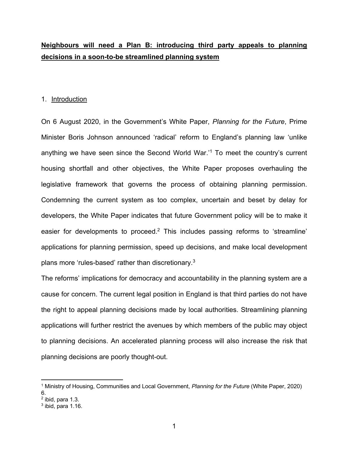# **Neighbours will need a Plan B: introducing third party appeals to planning decisions in a soon-to-be streamlined planning system**

### 1. Introduction

On 6 August 2020, in the Government's White Paper, *Planning for the Future*, Prime Minister Boris Johnson announced 'radical' reform to England's planning law 'unlike anything we have seen since the Second World War.' <sup>1</sup> To meet the country's current housing shortfall and other objectives, the White Paper proposes overhauling the legislative framework that governs the process of obtaining planning permission. Condemning the current system as too complex, uncertain and beset by delay for developers, the White Paper indicates that future Government policy will be to make it easier for developments to proceed.<sup>2</sup> This includes passing reforms to 'streamline' applications for planning permission, speed up decisions, and make local development plans more 'rules-based' rather than discretionary.3

The reforms' implications for democracy and accountability in the planning system are a cause for concern. The current legal position in England is that third parties do not have the right to appeal planning decisions made by local authorities. Streamlining planning applications will further restrict the avenues by which members of the public may object to planning decisions. An accelerated planning process will also increase the risk that planning decisions are poorly thought-out.

<sup>1</sup> Ministry of Housing, Communities and Local Government, *Planning for the Future* (White Paper, 2020) 6.

 $<sup>2</sup>$  ibid, para 1.3.</sup>

 $3$  ibid, para 1.16.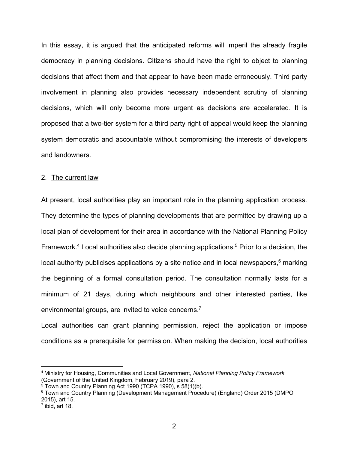In this essay, it is argued that the anticipated reforms will imperil the already fragile democracy in planning decisions. Citizens should have the right to object to planning decisions that affect them and that appear to have been made erroneously. Third party involvement in planning also provides necessary independent scrutiny of planning decisions, which will only become more urgent as decisions are accelerated. It is proposed that a two-tier system for a third party right of appeal would keep the planning system democratic and accountable without compromising the interests of developers and landowners.

### 2. The current law

At present, local authorities play an important role in the planning application process. They determine the types of planning developments that are permitted by drawing up a local plan of development for their area in accordance with the National Planning Policy Framework.<sup>4</sup> Local authorities also decide planning applications.<sup>5</sup> Prior to a decision, the local authority publicises applications by a site notice and in local newspapers,<sup>6</sup> marking the beginning of a formal consultation period. The consultation normally lasts for a minimum of 21 days, during which neighbours and other interested parties, like environmental groups, are invited to voice concerns.<sup>7</sup>

Local authorities can grant planning permission, reject the application or impose conditions as a prerequisite for permission. When making the decision, local authorities

<sup>4</sup> Ministry for Housing, Communities and Local Government, *National Planning Policy Framework* (Government of the United Kingdom, February 2019), para 2.

 $5$  Town and Country Planning Act 1990 (TCPA 1990), s 58(1)(b).

<sup>6</sup> Town and Country Planning (Development Management Procedure) (England) Order 2015 (DMPO 2015), art 15.

 $<sup>7</sup>$  ibid, art 18.</sup>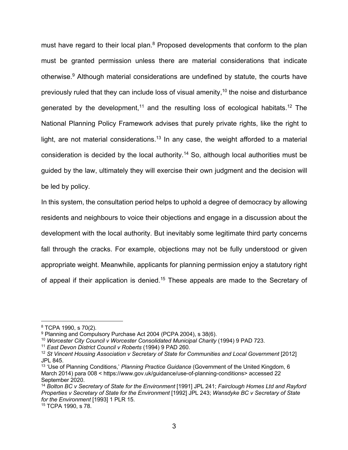must have regard to their local plan.<sup>8</sup> Proposed developments that conform to the plan must be granted permission unless there are material considerations that indicate otherwise.<sup>9</sup> Although material considerations are undefined by statute, the courts have previously ruled that they can include loss of visual amenity,<sup>10</sup> the noise and disturbance generated by the development,<sup>11</sup> and the resulting loss of ecological habitats.<sup>12</sup> The National Planning Policy Framework advises that purely private rights, like the right to light, are not material considerations.<sup>13</sup> In any case, the weight afforded to a material consideration is decided by the local authority.<sup>14</sup> So, although local authorities must be guided by the law, ultimately they will exercise their own judgment and the decision will be led by policy.

In this system, the consultation period helps to uphold a degree of democracy by allowing residents and neighbours to voice their objections and engage in a discussion about the development with the local authority. But inevitably some legitimate third party concerns fall through the cracks. For example, objections may not be fully understood or given appropriate weight. Meanwhile, applicants for planning permission enjoy a statutory right of appeal if their application is denied.<sup>15</sup> These appeals are made to the Secretary of

<sup>8</sup> TCPA 1990, s 70(2).

<sup>9</sup> Planning and Compulsory Purchase Act 2004 (PCPA 2004), s 38(6).

<sup>10</sup> *Worcester City Council v Worcester Consolidated Municipal Charity* (1994) 9 PAD 723.

<sup>11</sup> *East Devon District Council v Roberts* (1994) 9 PAD 260.

<sup>12</sup> *St Vincent Housing Association v Secretary of State for Communities and Local Government* [2012] JPL 845.

<sup>13</sup> 'Use of Planning Conditions,' *Planning Practice Guidance* (Government of the United Kingdom, 6 March 2014) para 008 < https://www.gov.uk/guidance/use-of-planning-conditions> accessed 22 September 2020.

<sup>14</sup> *Bolton BC v Secretary of State for the Environment* [1991] JPL 241; *Fairclough Homes Ltd and Rayford Properties v Secretary of State for the Environment* [1992] JPL 243; *Wansdyke BC v Secretary of State for the Environment* [1993] 1 PLR 15.

<sup>15</sup> TCPA 1990, s 78.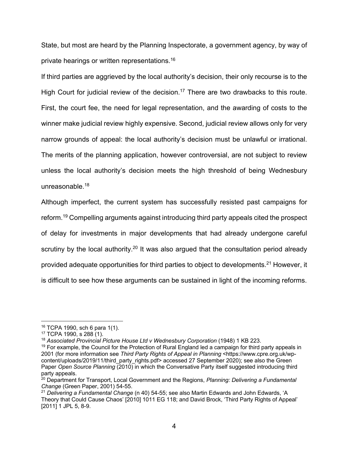State, but most are heard by the Planning Inspectorate, a government agency, by way of private hearings or written representations.16

If third parties are aggrieved by the local authority's decision, their only recourse is to the High Court for judicial review of the decision.<sup>17</sup> There are two drawbacks to this route. First, the court fee, the need for legal representation, and the awarding of costs to the winner make judicial review highly expensive. Second, judicial review allows only for very narrow grounds of appeal: the local authority's decision must be unlawful or irrational. The merits of the planning application, however controversial, are not subject to review unless the local authority's decision meets the high threshold of being Wednesbury unreasonable. 18

Although imperfect, the current system has successfully resisted past campaigns for reform. <sup>19</sup> Compelling arguments against introducing third party appeals cited the prospect of delay for investments in major developments that had already undergone careful scrutiny by the local authority.<sup>20</sup> It was also argued that the consultation period already provided adequate opportunities for third parties to object to developments.<sup>21</sup> However, it is difficult to see how these arguments can be sustained in light of the incoming reforms.

<sup>16</sup> TCPA 1990, sch 6 para 1(1).

<sup>17</sup> TCPA 1990, s 288 (1).

<sup>&</sup>lt;sup>18</sup> Associated Provincial Picture House Ltd v Wednesbury Corporation (1948) 1 KB 223.

 $19$  For example, the Council for the Protection of Rural England led a campaign for third party appeals in 2001 (for more information see *Third Party Rights of Appeal in Planning* <https://www.cpre.org.uk/wpcontent/uploads/2019/11/third\_party\_rights.pdf> accessed 27 September 2020); see also the Green Paper *Open Source Planning* (2010) in which the Conversative Party itself suggested introducing third party appeals.

<sup>20</sup> Department for Transport, Local Government and the Regions, *Planning: Delivering a Fundamental* 

*Change* (Green Paper, 2001) 54-55.<br><sup>21</sup> Delivering a Fundamental Change (n 40) 54-55; see also Martin Edwards and John Edwards, 'A Theory that Could Cause Chaos' [2010] 1011 EG 118; and David Brock, 'Third Party Rights of Appeal' [2011] 1 JPL 5, 8-9.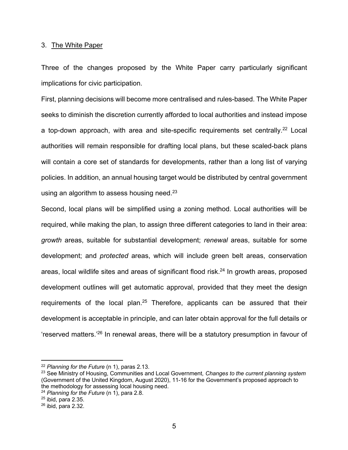#### 3. The White Paper

Three of the changes proposed by the White Paper carry particularly significant implications for civic participation.

First, planning decisions will become more centralised and rules-based. The White Paper seeks to diminish the discretion currently afforded to local authorities and instead impose a top-down approach, with area and site-specific requirements set centrally.<sup>22</sup> Local authorities will remain responsible for drafting local plans, but these scaled-back plans will contain a core set of standards for developments, rather than a long list of varying policies. In addition, an annual housing target would be distributed by central government using an algorithm to assess housing need. $23$ 

Second, local plans will be simplified using a zoning method. Local authorities will be required, while making the plan, to assign three different categories to land in their area: *growth* areas, suitable for substantial development; *renewal* areas, suitable for some development; and *protected* areas, which will include green belt areas, conservation areas, local wildlife sites and areas of significant flood risk.<sup>24</sup> In growth areas, proposed development outlines will get automatic approval, provided that they meet the design requirements of the local plan.<sup>25</sup> Therefore, applicants can be assured that their development is acceptable in principle, and can later obtain approval for the full details or 'reserved matters.'26 In renewal areas, there will be a statutory presumption in favour of

<sup>22</sup> *Planning for the Future* (n 1), paras 2.13.

<sup>23</sup> See Ministry of Housing, Communities and Local Government*, Changes to the current planning system* (Government of the United Kingdom, August 2020), 11-16 for the Government's proposed approach to the methodology for assessing local housing need.

<sup>24</sup> *Planning for the Future* (n 1), para 2.8.

 $25$  ibid, para 2.35.

 $26$  ibid, para 2.32.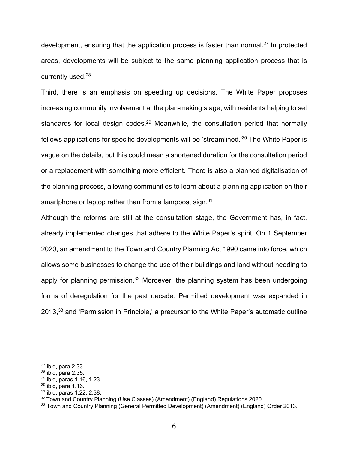development, ensuring that the application process is faster than normal.<sup>27</sup> In protected areas, developments will be subject to the same planning application process that is currently used.<sup>28</sup>

Third, there is an emphasis on speeding up decisions. The White Paper proposes increasing community involvement at the plan-making stage, with residents helping to set standards for local design codes.<sup>29</sup> Meanwhile, the consultation period that normally follows applications for specific developments will be 'streamlined.'30 The White Paper is vague on the details, but this could mean a shortened duration for the consultation period or a replacement with something more efficient. There is also a planned digitalisation of the planning process, allowing communities to learn about a planning application on their smartphone or laptop rather than from a lamppost sign.<sup>31</sup>

Although the reforms are still at the consultation stage, the Government has, in fact, already implemented changes that adhere to the White Paper's spirit. On 1 September 2020, an amendment to the Town and Country Planning Act 1990 came into force, which allows some businesses to change the use of their buildings and land without needing to apply for planning permission. $32$  Moroever, the planning system has been undergoing forms of deregulation for the past decade. Permitted development was expanded in 2013,<sup>33</sup> and 'Permission in Principle,' a precursor to the White Paper's automatic outline

 $27$  ibid, para 2.33.

 $28$  ibid, para 2.35.

<sup>29</sup> ibid, paras 1.16, 1.23.

 $30$  ibid, para 1.16.

<sup>31</sup> ibid, paras 1.22, 2.38.

<sup>&</sup>lt;sup>32</sup> Town and Country Planning (Use Classes) (Amendment) (England) Regulations 2020.

<sup>&</sup>lt;sup>33</sup> Town and Country Planning (General Permitted Development) (Amendment) (England) Order 2013.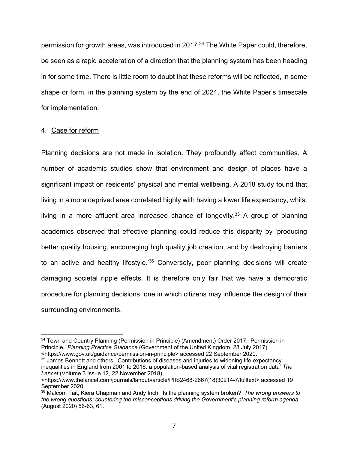permission for growth areas, was introduced in 2017.<sup>34</sup> The White Paper could, therefore, be seen as a rapid acceleration of a direction that the planning system has been heading in for some time. There is little room to doubt that these reforms will be reflected, in some shape or form, in the planning system by the end of 2024, the White Paper's timescale for implementation.

# 4. Case for reform

Planning decisions are not made in isolation. They profoundly affect communities. A number of academic studies show that environment and design of places have a significant impact on residents' physical and mental wellbeing. A 2018 study found that living in a more deprived area correlated highly with having a lower life expectancy, whilst living in a more affluent area increased chance of longevity.<sup>35</sup> A group of planning academics observed that effective planning could reduce this disparity by 'producing better quality housing, encouraging high quality job creation, and by destroying barriers to an active and healthy lifestyle.<sup>'36</sup> Conversely, poor planning decisions will create damaging societal ripple effects. It is therefore only fair that we have a democratic procedure for planning decisions, one in which citizens may influence the design of their surrounding environments.

<sup>34</sup> Town and Country Planning (Permission in Principle) (Amendment) Order 2017; 'Permission in Principle,' *Planning Practice Guidance* (Government of the United Kingdom, 28 July 2017) <https://www.gov.uk/guidance/permission-in-principle> accessed 22 September 2020.

<sup>&</sup>lt;sup>35</sup> James Bennett and others, 'Contributions of diseases and injuries to widening life expectancy inequalities in England from 2001 to 2016: a population-based analysis of vital registration data' *The Lancet* (Volume 3 Issue 12, 22 November 2018)

<sup>&</sup>lt;https://www.thelancet.com/journals/lanpub/article/PIIS2468-2667(18)30214-7/fulltext> accessed 19 September 2020.

<sup>36</sup> Malcom Tait, Kiera Chapman and Andy Inch, 'Is the planning system broken?' *The wrong answers to the wrong questions: countering the misconceptions driving the Government's planning reform agenda* (August 2020) 56-63, 61.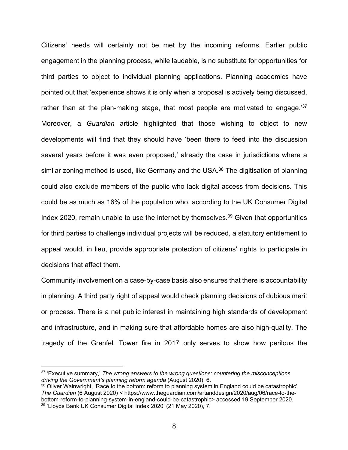Citizens' needs will certainly not be met by the incoming reforms. Earlier public engagement in the planning process, while laudable, is no substitute for opportunities for third parties to object to individual planning applications. Planning academics have pointed out that 'experience shows it is only when a proposal is actively being discussed, rather than at the plan-making stage, that most people are motivated to engage.<sup>37</sup> Moreover, a *Guardian* article highlighted that those wishing to object to new developments will find that they should have 'been there to feed into the discussion several years before it was even proposed,' already the case in jurisdictions where a similar zoning method is used, like Germany and the USA.<sup>38</sup> The digitisation of planning could also exclude members of the public who lack digital access from decisions. This could be as much as 16% of the population who, according to the UK Consumer Digital Index 2020, remain unable to use the internet by themselves.<sup>39</sup> Given that opportunities for third parties to challenge individual projects will be reduced, a statutory entitlement to appeal would, in lieu, provide appropriate protection of citizens' rights to participate in decisions that affect them.

Community involvement on a case-by-case basis also ensures that there is accountability in planning. A third party right of appeal would check planning decisions of dubious merit or process. There is a net public interest in maintaining high standards of development and infrastructure, and in making sure that affordable homes are also high-quality. The tragedy of the Grenfell Tower fire in 2017 only serves to show how perilous the

<sup>37</sup> 'Executive summary,' *The wrong answers to the wrong questions: countering the misconceptions driving the Government's planning reform agenda* (August 2020), 6.

<sup>&</sup>lt;sup>38</sup> Oliver Wainwright, 'Race to the bottom: reform to planning system in England could be catastrophic' *The Guardian* (6 August 2020) < https://www.theguardian.com/artanddesign/2020/aug/06/race-to-thebottom-reform-to-planning-system-in-england-could-be-catastrophic> accessed 19 September 2020. <sup>39</sup> 'Lloyds Bank UK Consumer Digital Index 2020' (21 May 2020), 7.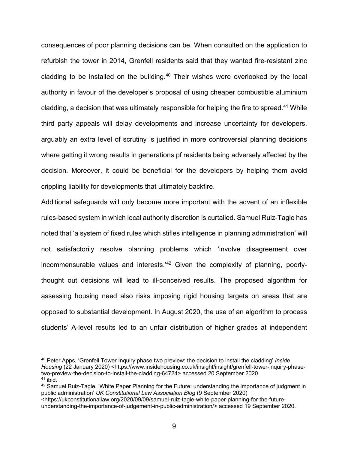consequences of poor planning decisions can be. When consulted on the application to refurbish the tower in 2014, Grenfell residents said that they wanted fire-resistant zinc cladding to be installed on the building. $40$  Their wishes were overlooked by the local authority in favour of the developer's proposal of using cheaper combustible aluminium cladding, a decision that was ultimately responsible for helping the fire to spread.41 While third party appeals will delay developments and increase uncertainty for developers, arguably an extra level of scrutiny is justified in more controversial planning decisions where getting it wrong results in generations pf residents being adversely affected by the decision. Moreover, it could be beneficial for the developers by helping them avoid crippling liability for developments that ultimately backfire.

Additional safeguards will only become more important with the advent of an inflexible rules-based system in which local authority discretion is curtailed. Samuel Ruiz-Tagle has noted that 'a system of fixed rules which stifles intelligence in planning administration' will not satisfactorily resolve planning problems which 'involve disagreement over incommensurable values and interests.<sup>'42</sup> Given the complexity of planning, poorlythought out decisions will lead to ill-conceived results. The proposed algorithm for assessing housing need also risks imposing rigid housing targets on areas that are opposed to substantial development. In August 2020, the use of an algorithm to process students' A-level results led to an unfair distribution of higher grades at independent

<sup>40</sup> Peter Apps, 'Grenfell Tower Inquiry phase two preview: the decision to install the cladding' *Inside Housing (22 January 2020) <https://www.insidehousing.co.uk/insight/insight/grenfell-tower-inquiry-phase*two-preview-the-decision-to-install-the-cladding-64724> accessed 20 September 2020.  $41$  ibid.

<sup>42</sup> Samuel Ruiz-Tagle, 'White Paper Planning for the Future: understanding the importance of judgment in public administration' *UK Constitutional Law Association Blog* (9 September 2020)

<sup>&</sup>lt;https://ukconstitutionallaw.org/2020/09/09/samuel-ruiz-tagle-white-paper-planning-for-the-futureunderstanding-the-importance-of-judgement-in-public-administration/> accessed 19 September 2020.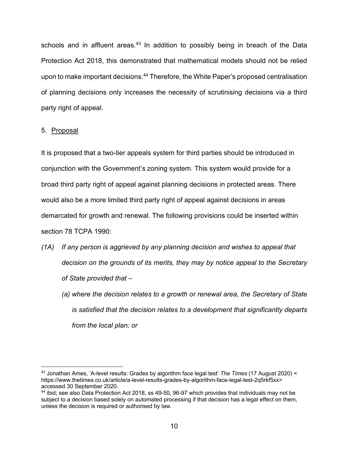schools and in affluent areas.<sup>43</sup> In addition to possibly being in breach of the Data Protection Act 2018, this demonstrated that mathematical models should not be relied upon to make important decisions.<sup>44</sup> Therefore, the White Paper's proposed centralisation of planning decisions only increases the necessity of scrutinising decisions via a third party right of appeal.

# 5. Proposal

It is proposed that a two-tier appeals system for third parties should be introduced in conjunction with the Government's zoning system. This system would provide for a broad third party right of appeal against planning decisions in protected areas. There would also be a more limited third party right of appeal against decisions in areas demarcated for growth and renewal. The following provisions could be inserted within section 78 TCPA 1990:

- *(1A) If any person is aggrieved by any planning decision and wishes to appeal that decision on the grounds of its merits, they may by notice appeal to the Secretary of State provided that –*
	- *(a) where the decision relates to a growth or renewal area, the Secretary of State is satisfied that the decision relates to a development that significantly departs from the local plan; or*

<sup>43</sup> Jonathan Ames, 'A-level results: Grades by algorithm face legal test' *The Times* (17 August 2020) < https://www.thetimes.co.uk/article/a-level-results-grades-by-algorithm-face-legal-test-2q5rkf5xx> accessed 30 September 2020.

<sup>44</sup> ibid; see also Data Protection Act 2018, ss 49-50, 96-97 which provides that individuals may not be subject to a decision based solely on automated processing if that decision has a legal effect on them, unless the decision is required or authorised by law.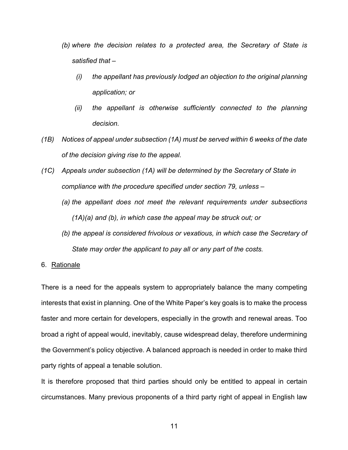- *(b) where the decision relates to a protected area, the Secretary of State is satisfied that –*
	- *(i) the appellant has previously lodged an objection to the original planning application; or*
	- *(ii) the appellant is otherwise sufficiently connected to the planning decision.*
- *(1B) Notices of appeal under subsection (1A) must be served within 6 weeks of the date of the decision giving rise to the appeal.*
- *(1C) Appeals under subsection (1A) will be determined by the Secretary of State in compliance with the procedure specified under section 79, unless –*
	- *(a) the appellant does not meet the relevant requirements under subsections (1A)(a) and (b), in which case the appeal may be struck out; or*
	- *(b) the appeal is considered frivolous or vexatious, in which case the Secretary of State may order the applicant to pay all or any part of the costs.*

#### 6. Rationale

There is a need for the appeals system to appropriately balance the many competing interests that exist in planning. One of the White Paper's key goals is to make the process faster and more certain for developers, especially in the growth and renewal areas. Too broad a right of appeal would, inevitably, cause widespread delay, therefore undermining the Government's policy objective. A balanced approach is needed in order to make third party rights of appeal a tenable solution.

It is therefore proposed that third parties should only be entitled to appeal in certain circumstances. Many previous proponents of a third party right of appeal in English law

11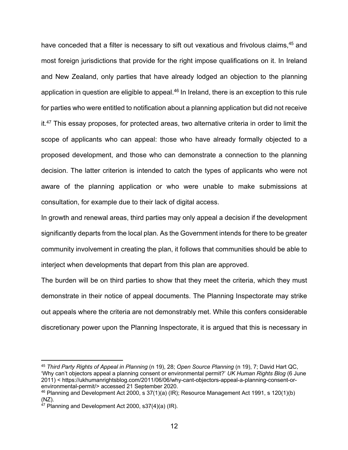have conceded that a filter is necessary to sift out vexatious and frivolous claims,<sup>45</sup> and most foreign jurisdictions that provide for the right impose qualifications on it. In Ireland and New Zealand, only parties that have already lodged an objection to the planning application in question are eligible to appeal.<sup>46</sup> In Ireland, there is an exception to this rule for parties who were entitled to notification about a planning application but did not receive it.<sup>47</sup> This essay proposes, for protected areas, two alternative criteria in order to limit the scope of applicants who can appeal: those who have already formally objected to a proposed development, and those who can demonstrate a connection to the planning decision. The latter criterion is intended to catch the types of applicants who were not aware of the planning application or who were unable to make submissions at consultation, for example due to their lack of digital access.

In growth and renewal areas, third parties may only appeal a decision if the development significantly departs from the local plan. As the Government intends for there to be greater community involvement in creating the plan, it follows that communities should be able to interject when developments that depart from this plan are approved.

The burden will be on third parties to show that they meet the criteria, which they must demonstrate in their notice of appeal documents. The Planning Inspectorate may strike out appeals where the criteria are not demonstrably met. While this confers considerable discretionary power upon the Planning Inspectorate, it is argued that this is necessary in

<sup>45</sup> *Third Party Rights of Appeal in Planning* (n 19), 28; *Open Source Planning* (n 19), 7; David Hart QC, 'Why can't objectors appeal a planning consent or environmental permit?' *UK Human Rights Blog* (6 June 2011) < https://ukhumanrightsblog.com/2011/06/06/why-cant-objectors-appeal-a-planning-consent-orenvironmental-permit/> accessed 21 September 2020.

 $46$  Planning and Development Act 2000, s 37(1)(a) (IR); Resource Management Act 1991, s 120(1)(b) (NZ).

 $47$  Planning and Development Act 2000, s37(4)(a) (IR).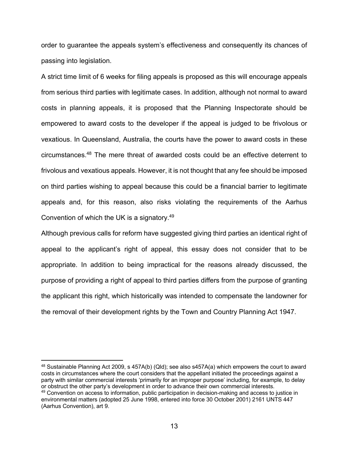order to guarantee the appeals system's effectiveness and consequently its chances of passing into legislation.

A strict time limit of 6 weeks for filing appeals is proposed as this will encourage appeals from serious third parties with legitimate cases. In addition, although not normal to award costs in planning appeals, it is proposed that the Planning Inspectorate should be empowered to award costs to the developer if the appeal is judged to be frivolous or vexatious. In Queensland, Australia, the courts have the power to award costs in these circumstances. <sup>48</sup> The mere threat of awarded costs could be an effective deterrent to frivolous and vexatious appeals. However, it is not thought that any fee should be imposed on third parties wishing to appeal because this could be a financial barrier to legitimate appeals and, for this reason, also risks violating the requirements of the Aarhus Convention of which the UK is a signatory.49

Although previous calls for reform have suggested giving third parties an identical right of appeal to the applicant's right of appeal, this essay does not consider that to be appropriate. In addition to being impractical for the reasons already discussed, the purpose of providing a right of appeal to third parties differs from the purpose of granting the applicant this right, which historically was intended to compensate the landowner for the removal of their development rights by the Town and Country Planning Act 1947.

<sup>48</sup> Sustainable Planning Act 2009, s 457A(b) (Qld); see also s457A(a) which empowers the court to award costs in circumstances where the court considers that the appellant initiated the proceedings against a party with similar commercial interests 'primarily for an improper purpose' including, for example, to delay or obstruct the other party's development in order to advance their own commercial interests. <sup>49</sup> Convention on access to information, public participation in decision-making and access to justice in environmental matters (adopted 25 June 1998, entered into force 30 October 2001) 2161 UNTS 447 (Aarhus Convention), art 9.